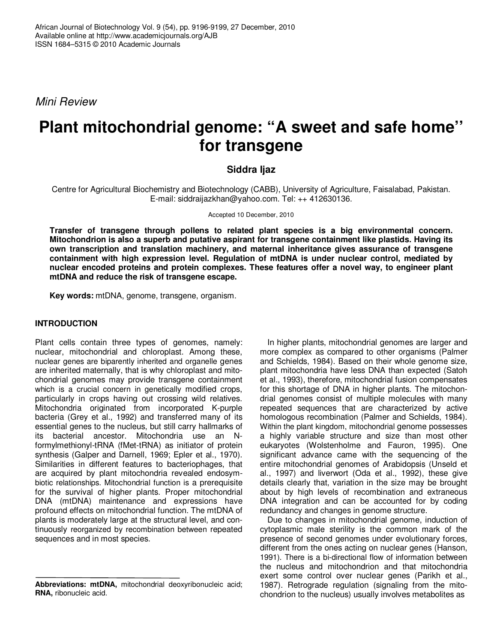Mini Review

# **Plant mitochondrial genome: "A sweet and safe home'' for transgene**

# **Siddra Ijaz**

Centre for Agricultural Biochemistry and Biotechnology (CABB), University of Agriculture, Faisalabad, Pakistan. E-mail: siddraijazkhan@yahoo.com. Tel: ++ 412630136.

#### Accepted 10 December, 2010

**Transfer of transgene through pollens to related plant species is a big environmental concern. Mitochondrion is also a superb and putative aspirant for transgene containment like plastids. Having its own transcription and translation machinery, and maternal inheritance gives assurance of transgene containment with high expression level. Regulation of mtDNA is under nuclear control, mediated by nuclear encoded proteins and protein complexes. These features offer a novel way, to engineer plant mtDNA and reduce the risk of transgene escape.** 

**Key words:** mtDNA, genome, transgene, organism.

## **INTRODUCTION**

Plant cells contain three types of genomes, namely: nuclear, mitochondrial and chloroplast. Among these, nuclear genes are biparently inherited and organelle genes are inherited maternally, that is why chloroplast and mitochondrial genomes may provide transgene containment which is a crucial concern in genetically modified crops, particularly in crops having out crossing wild relatives. Mitochondria originated from incorporated K-purple bacteria (Grey et al., 1992) and transferred many of its essential genes to the nucleus, but still carry hallmarks of its bacterial ancestor. Mitochondria use an Nformylmethionyl-tRNA (fMet-tRNA) as initiator of protein synthesis (Galper and Darnell, 1969; Epler et al., 1970). Similarities in different features to bacteriophages, that are acquired by plant mitochondria revealed endosymbiotic relationships. Mitochondrial function is a prerequisite for the survival of higher plants. Proper mitochondrial DNA (mtDNA) maintenance and expressions have profound effects on mitochondrial function. The mtDNA of plants is moderately large at the structural level, and continuously reorganized by recombination between repeated sequences and in most species.

In higher plants, mitochondrial genomes are larger and more complex as compared to other organisms (Palmer and Schields, 1984). Based on their whole genome size, plant mitochondria have less DNA than expected (Satoh et al., 1993), therefore, mitochondrial fusion compensates for this shortage of DNA in higher plants. The mitochondrial genomes consist of multiple molecules with many repeated sequences that are characterized by active homologous recombination (Palmer and Schields, 1984). Within the plant kingdom, mitochondrial genome possesses a highly variable structure and size than most other eukaryotes (Wolstenholme and Fauron, 1995). One significant advance came with the sequencing of the entire mitochondrial genomes of Arabidopsis (Unseld et al., 1997) and liverwort (Oda et al., 1992), these give details clearly that, variation in the size may be brought about by high levels of recombination and extraneous DNA integration and can be accounted for by coding redundancy and changes in genome structure.

Due to changes in mitochondrial genome, induction of cytoplasmic male sterility is the common mark of the presence of second genomes under evolutionary forces, different from the ones acting on nuclear genes (Hanson, 1991). There is a bi-directional flow of information between the nucleus and mitochondrion and that mitochondria exert some control over nuclear genes (Parikh et al., 1987). Retrograde regulation (signaling from the mitochondrion to the nucleus) usually involves metabolites as

**Abbreviations: mtDNA,** mitochondrial deoxyribonucleic acid; **RNA,** ribonucleic acid.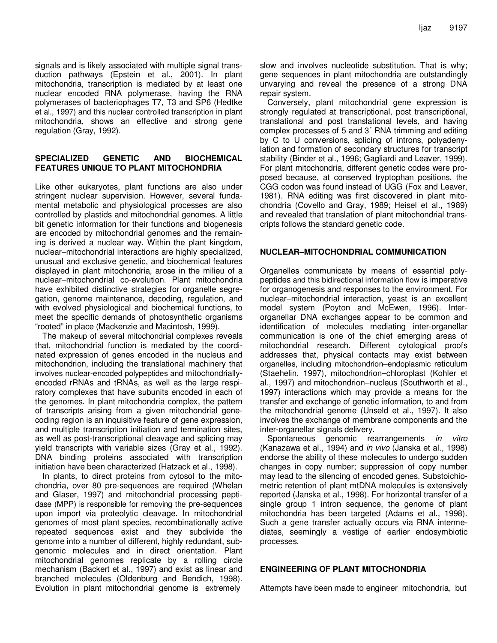signals and is likely associated with multiple signal transduction pathways (Epstein et al., 2001). In plant mitochondria, transcription is mediated by at least one nuclear encoded RNA polymerase, having the RNA polymerases of bacteriophages T7, T3 and SP6 (Hedtke et al., 1997) and this nuclear controlled transcription in plant mitochondria, shows an effective and strong gene regulation (Gray, 1992).

#### **SPECIALIZED GENETIC AND BIOCHEMICAL FEATURES UNIQUE TO PLANT MITOCHONDRIA**

Like other eukaryotes, plant functions are also under stringent nuclear supervision. However, several fundamental metabolic and physiological processes are also controlled by plastids and mitochondrial genomes. A little bit genetic information for their functions and biogenesis are encoded by mitochondrial genomes and the remaining is derived a nuclear way. Within the plant kingdom, nuclear–mitochondrial interactions are highly specialized, unusual and exclusive genetic, and biochemical features displayed in plant mitochondria, arose in the milieu of a nuclear–mitochondrial co-evolution. Plant mitochondria have exhibited distinctive strategies for organelle segregation, genome maintenance, decoding, regulation, and with evolved physiological and biochemical functions, to meet the specific demands of photosynthetic organisms "rooted" in place (Mackenzie and Macintosh, 1999).

The makeup of several mitochondrial complexes reveals that, mitochondrial function is mediated by the coordinated expression of genes encoded in the nucleus and mitochondrion, including the translational machinery that involves nuclear-encoded polypeptides and mitochondriallyencoded rRNAs and tRNAs, as well as the large respiratory complexes that have subunits encoded in each of the genomes. In plant mitochondria complex, the pattern of transcripts arising from a given mitochondrial genecoding region is an inquisitive feature of gene expression, and multiple transcription initiation and termination sites, as well as post-transcriptional cleavage and splicing may yield transcripts with variable sizes (Gray et al., 1992). DNA binding proteins associated with transcription initiation have been characterized (Hatzack et al., 1998).

In plants, to direct proteins from cytosol to the mitochondria, over 80 pre-sequences are required (Whelan and Glaser, 1997) and mitochondrial processing peptidase (MPP) is responsible for removing the pre-sequences upon import via proteolytic cleavage. In mitochondrial genomes of most plant species, recombinationally active repeated sequences exist and they subdivide the genome into a number of different, highly redundant, subgenomic molecules and in direct orientation. Plant mitochondrial genomes replicate by a rolling circle mechanism (Backert et al., 1997) and exist as linear and branched molecules (Oldenburg and Bendich, 1998). Evolution in plant mitochondrial genome is extremely

slow and involves nucleotide substitution. That is why; gene sequences in plant mitochondria are outstandingly unvarying and reveal the presence of a strong DNA repair system.

Conversely, plant mitochondrial gene expression is strongly regulated at transcriptional, post transcriptional, translational and post translational levels, and having complex processes of 5 and 3´ RNA trimming and editing by C to U conversions, splicing of introns, polyadenylation and formation of secondary structures for transcript stability (Binder et al., 1996; Gagliardi and Leaver, 1999). For plant mitochondria, different genetic codes were proposed because, at conserved tryptophan positions, the CGG codon was found instead of UGG (Fox and Leaver, 1981). RNA editing was first discovered in plant mitochondria (Covello and Gray, 1989; Heisel et al., 1989) and revealed that translation of plant mitochondrial transcripts follows the standard genetic code.

### **NUCLEAR–MITOCHONDRIAL COMMUNICATION**

Organelles communicate by means of essential polypeptides and this bidirectional information flow is imperative for organogenesis and responses to the environment. For nuclear–mitochondrial interaction, yeast is an excellent model system (Poyton and McEwen, 1996). Interorganellar DNA exchanges appear to be common and identification of molecules mediating inter-organellar communication is one of the chief emerging areas of mitochondrial research. Different cytological proofs addresses that, physical contacts may exist between organelles, including mitochondrion–endoplasmic reticulum (Staehelin, 1997), mitochondrion–chloroplast (Kohler et al., 1997) and mitochondrion–nucleus (Southworth et al., 1997) interactions which may provide a means for the transfer and exchange of genetic information, to and from the mitochondrial genome (Unseld et al., 1997). It also involves the exchange of membrane components and the inter-organellar signals delivery.

Spontaneous genomic rearrangements *in vitro* (Kanazawa et al., 1994) and in vivo (Janska et al., 1998) endorse the ability of these molecules to undergo sudden changes in copy number; suppression of copy number may lead to the silencing of encoded genes. Substoichiometric retention of plant mtDNA molecules is extensively reported (Janska et al., 1998). For horizontal transfer of a single group 1 intron sequence, the genome of plant mitochondria has been targeted (Adams et al., 1998). Such a gene transfer actually occurs via RNA intermediates, seemingly a vestige of earlier endosymbiotic processes.

## **ENGINEERING OF PLANT MITOCHONDRIA**

Attempts have been made to engineer mitochondria, but